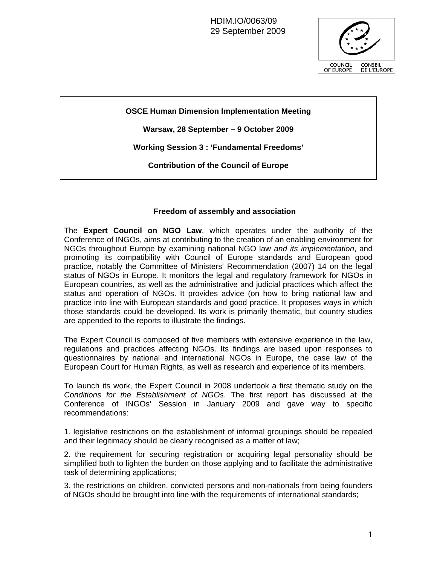HDIM.IO/0063/09 29 September 2009



**OSCE Human Dimension Implementation Meeting** 

**Warsaw, 28 September – 9 October 2009** 

**Working Session 3 : 'Fundamental Freedoms'** 

**Contribution of the Council of Europe** 

## **Freedom of assembly and association**

The **Expert Council on NGO Law**, which operates under the authority of the Conference of INGOs, aims at contributing to the creation of an enabling environment for NGOs throughout Europe by examining national NGO law *and its implementation*, and promoting its compatibility with Council of Europe standards and European good practice, notably the Committee of Ministers' Recommendation (2007) 14 on the legal status of NGOs in Europe. It monitors the legal and regulatory framework for NGOs in European countries, as well as the administrative and judicial practices which affect the status and operation of NGOs. It provides advice (on how to bring national law and practice into line with European standards and good practice. It proposes ways in which those standards could be developed. Its work is primarily thematic, but country studies are appended to the reports to illustrate the findings.

The Expert Council is composed of five members with extensive experience in the law, regulations and practices affecting NGOs. Its findings are based upon responses to questionnaires by national and international NGOs in Europe, the case law of the European Court for Human Rights, as well as research and experience of its members.

To launch its work, the Expert Council in 2008 undertook a first thematic study on the *Conditions for the Establishment of NGOs*. The first report has discussed at the Conference of INGOs' Session in January 2009 and gave way to specific recommendations:

1. legislative restrictions on the establishment of informal groupings should be repealed and their legitimacy should be clearly recognised as a matter of law;

2. the requirement for securing registration or acquiring legal personality should be simplified both to lighten the burden on those applying and to facilitate the administrative task of determining applications;

3. the restrictions on children, convicted persons and non-nationals from being founders of NGOs should be brought into line with the requirements of international standards;